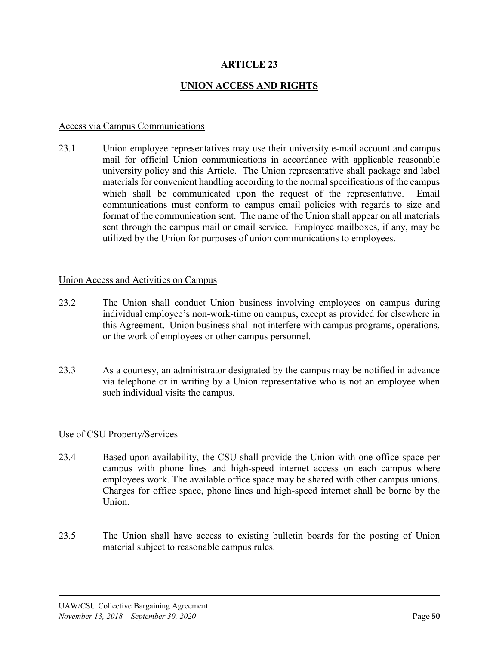# **ARTICLE 23**

## **UNION ACCESS AND RIGHTS**

#### Access via Campus Communications

23.1 Union employee representatives may use their university e-mail account and campus mail for official Union communications in accordance with applicable reasonable university policy and this Article. The Union representative shall package and label materials for convenient handling according to the normal specifications of the campus which shall be communicated upon the request of the representative. Email communications must conform to campus email policies with regards to size and format of the communication sent. The name of the Union shall appear on all materials sent through the campus mail or email service. Employee mailboxes, if any, may be utilized by the Union for purposes of union communications to employees.

#### Union Access and Activities on Campus

- 23.2 The Union shall conduct Union business involving employees on campus during individual employee's non-work-time on campus, except as provided for elsewhere in this Agreement. Union business shall not interfere with campus programs, operations, or the work of employees or other campus personnel.
- 23.3 As a courtesy, an administrator designated by the campus may be notified in advance via telephone or in writing by a Union representative who is not an employee when such individual visits the campus.

#### Use of CSU Property/Services

- 23.4 Based upon availability, the CSU shall provide the Union with one office space per campus with phone lines and high-speed internet access on each campus where employees work. The available office space may be shared with other campus unions. Charges for office space, phone lines and high-speed internet shall be borne by the Union.
- 23.5 The Union shall have access to existing bulletin boards for the posting of Union material subject to reasonable campus rules.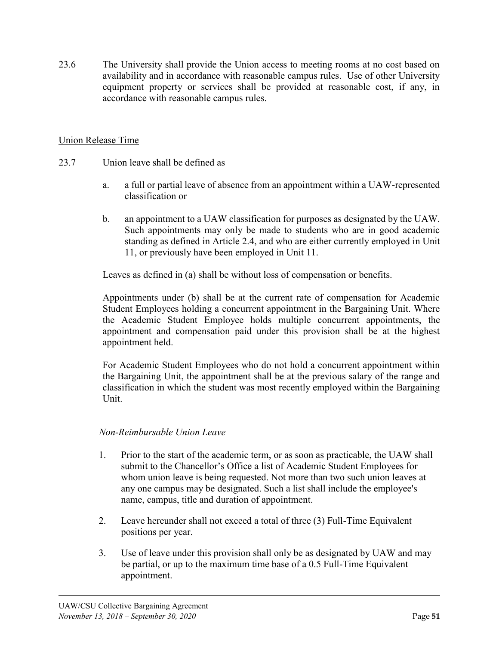23.6 The University shall provide the Union access to meeting rooms at no cost based on availability and in accordance with reasonable campus rules. Use of other University equipment property or services shall be provided at reasonable cost, if any, in accordance with reasonable campus rules.

### Union Release Time

- 23.7 Union leave shall be defined as
	- a. a full or partial leave of absence from an appointment within a UAW-represented classification or
	- b. an appointment to a UAW classification for purposes as designated by the UAW. Such appointments may only be made to students who are in good academic standing as defined in Article 2.4, and who are either currently employed in Unit 11, or previously have been employed in Unit 11.

Leaves as defined in (a) shall be without loss of compensation or benefits.

Appointments under (b) shall be at the current rate of compensation for Academic Student Employees holding a concurrent appointment in the Bargaining Unit. Where the Academic Student Employee holds multiple concurrent appointments, the appointment and compensation paid under this provision shall be at the highest appointment held.

For Academic Student Employees who do not hold a concurrent appointment within the Bargaining Unit, the appointment shall be at the previous salary of the range and classification in which the student was most recently employed within the Bargaining Unit.

### *Non-Reimbursable Union Leave*

- 1. Prior to the start of the academic term, or as soon as practicable, the UAW shall submit to the Chancellor's Office a list of Academic Student Employees for whom union leave is being requested. Not more than two such union leaves at any one campus may be designated. Such a list shall include the employee's name, campus, title and duration of appointment.
- 2. Leave hereunder shall not exceed a total of three (3) Full-Time Equivalent positions per year.
- 3. Use of leave under this provision shall only be as designated by UAW and may be partial, or up to the maximum time base of a 0.5 Full-Time Equivalent appointment.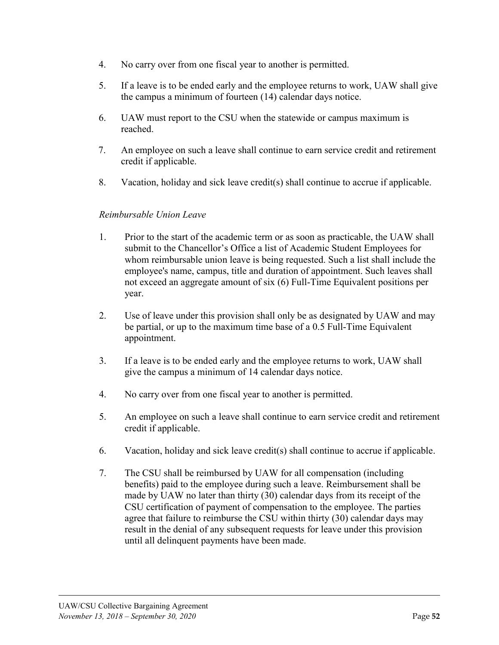- 4. No carry over from one fiscal year to another is permitted.
- 5. If a leave is to be ended early and the employee returns to work, UAW shall give the campus a minimum of fourteen (14) calendar days notice.
- 6. UAW must report to the CSU when the statewide or campus maximum is reached.
- 7. An employee on such a leave shall continue to earn service credit and retirement credit if applicable.
- 8. Vacation, holiday and sick leave credit(s) shall continue to accrue if applicable.

## *Reimbursable Union Leave*

- 1. Prior to the start of the academic term or as soon as practicable, the UAW shall submit to the Chancellor's Office a list of Academic Student Employees for whom reimbursable union leave is being requested. Such a list shall include the employee's name, campus, title and duration of appointment. Such leaves shall not exceed an aggregate amount of six (6) Full-Time Equivalent positions per year.
- 2. Use of leave under this provision shall only be as designated by UAW and may be partial, or up to the maximum time base of a 0.5 Full-Time Equivalent appointment.
- 3. If a leave is to be ended early and the employee returns to work, UAW shall give the campus a minimum of 14 calendar days notice.
- 4. No carry over from one fiscal year to another is permitted.
- 5. An employee on such a leave shall continue to earn service credit and retirement credit if applicable.
- 6. Vacation, holiday and sick leave credit(s) shall continue to accrue if applicable.
- 7. The CSU shall be reimbursed by UAW for all compensation (including benefits) paid to the employee during such a leave. Reimbursement shall be made by UAW no later than thirty (30) calendar days from its receipt of the CSU certification of payment of compensation to the employee. The parties agree that failure to reimburse the CSU within thirty (30) calendar days may result in the denial of any subsequent requests for leave under this provision until all delinquent payments have been made.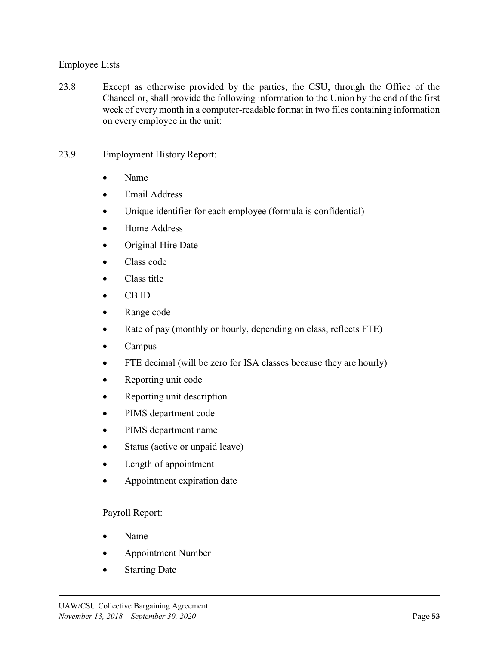### Employee Lists

- 23.8 Except as otherwise provided by the parties, the CSU, through the Office of the Chancellor, shall provide the following information to the Union by the end of the first week of every month in a computer-readable format in two files containing information on every employee in the unit:
- 23.9 Employment History Report:
	- Name
	- Email Address
	- Unique identifier for each employee (formula is confidential)
	- Home Address
	- Original Hire Date
	- $\bullet$  Class code
	- $\bullet$  Class title
	- $\bullet$  CB ID
	- Range code
	- $\bullet$  Rate of pay (monthly or hourly, depending on class, reflects FTE)
	- $\bullet$  Campus
	- FTE decimal (will be zero for ISA classes because they are hourly)
	- Reporting unit code
	- Reporting unit description
	- PIMS department code
	- PIMS department name
	- Status (active or unpaid leave)
	- Length of appointment
	- Appointment expiration date

### Payroll Report:

- Name
- x Appointment Number
- **Starting Date**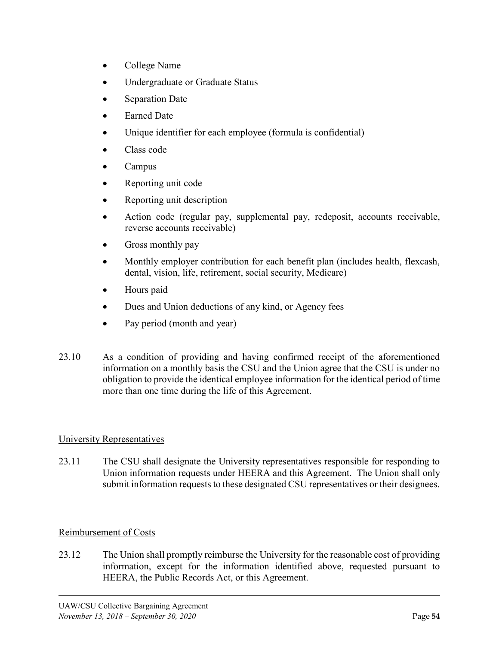- $\bullet$  College Name
- Undergraduate or Graduate Status
- Separation Date
- Earned Date
- Unique identifier for each employee (formula is confidential)
- $\bullet$  Class code
- **Campus**
- Reporting unit code
- x Reporting unit description
- Action code (regular pay, supplemental pay, redeposit, accounts receivable, reverse accounts receivable)
- Gross monthly pay
- Monthly employer contribution for each benefit plan (includes health, flexcash, dental, vision, life, retirement, social security, Medicare)
- Hours paid
- Dues and Union deductions of any kind, or Agency fees
- Pay period (month and year)
- 23.10 As a condition of providing and having confirmed receipt of the aforementioned information on a monthly basis the CSU and the Union agree that the CSU is under no obligation to provide the identical employee information for the identical period of time more than one time during the life of this Agreement.

# University Representatives

23.11 The CSU shall designate the University representatives responsible for responding to Union information requests under HEERA and this Agreement. The Union shall only submit information requests to these designated CSU representatives or their designees.

# Reimbursement of Costs

23.12 The Union shall promptly reimburse the University for the reasonable cost of providing information, except for the information identified above, requested pursuant to HEERA, the Public Records Act, or this Agreement.